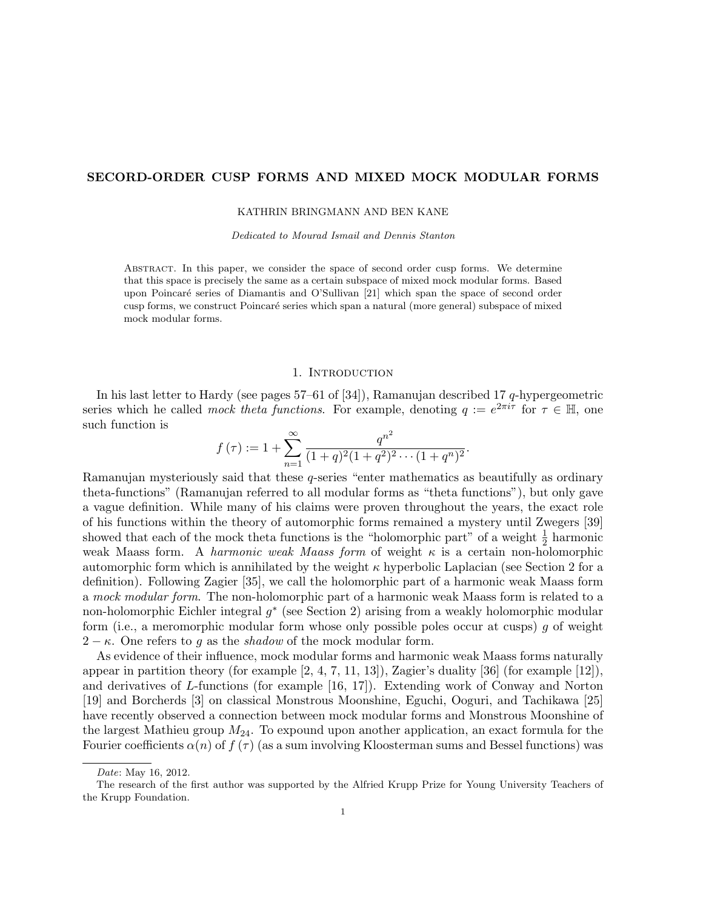# SECORD-ORDER CUSP FORMS AND MIXED MOCK MODULAR FORMS

KATHRIN BRINGMANN AND BEN KANE

Dedicated to Mourad Ismail and Dennis Stanton

Abstract. In this paper, we consider the space of second order cusp forms. We determine that this space is precisely the same as a certain subspace of mixed mock modular forms. Based upon Poincar´e series of Diamantis and O'Sullivan [21] which span the space of second order cusp forms, we construct Poincar´e series which span a natural (more general) subspace of mixed mock modular forms.

## 1. INTRODUCTION

In his last letter to Hardy (see pages 57–61 of [34]), Ramanujan described 17 q-hypergeometric series which he called *mock theta functions*. For example, denoting  $q := e^{2\pi i \tau}$  for  $\tau \in \mathbb{H}$ , one such function is

$$
f(\tau) := 1 + \sum_{n=1}^{\infty} \frac{q^{n^2}}{(1+q)^2(1+q^2)^2 \cdots (1+q^n)^2}.
$$

Ramanujan mysteriously said that these q-series "enter mathematics as beautifully as ordinary theta-functions" (Ramanujan referred to all modular forms as "theta functions"), but only gave a vague definition. While many of his claims were proven throughout the years, the exact role of his functions within the theory of automorphic forms remained a mystery until Zwegers [39] showed that each of the mock theta functions is the "holomorphic part" of a weight  $\frac{1}{2}$  harmonic weak Maass form. A *harmonic weak Maass form* of weight  $\kappa$  is a certain non-holomorphic automorphic form which is annihilated by the weight  $\kappa$  hyperbolic Laplacian (see Section 2 for a definition). Following Zagier [35], we call the holomorphic part of a harmonic weak Maass form a mock modular form. The non-holomorphic part of a harmonic weak Maass form is related to a non-holomorphic Eichler integral  $g^*$  (see Section 2) arising from a weakly holomorphic modular form (i.e., a meromorphic modular form whose only possible poles occur at cusps)  $q$  of weight  $2 - \kappa$ . One refers to g as the *shadow* of the mock modular form.

As evidence of their influence, mock modular forms and harmonic weak Maass forms naturally appear in partition theory (for example  $[2, 4, 7, 11, 13]$ ), Zagier's duality  $[36]$  (for example  $[12]$ ), and derivatives of L-functions (for example [16, 17]). Extending work of Conway and Norton [19] and Borcherds [3] on classical Monstrous Moonshine, Eguchi, Ooguri, and Tachikawa [25] have recently observed a connection between mock modular forms and Monstrous Moonshine of the largest Mathieu group  $M_{24}$ . To expound upon another application, an exact formula for the Fourier coefficients  $\alpha(n)$  of  $f(\tau)$  (as a sum involving Kloosterman sums and Bessel functions) was

Date: May 16, 2012.

The research of the first author was supported by the Alfried Krupp Prize for Young University Teachers of the Krupp Foundation.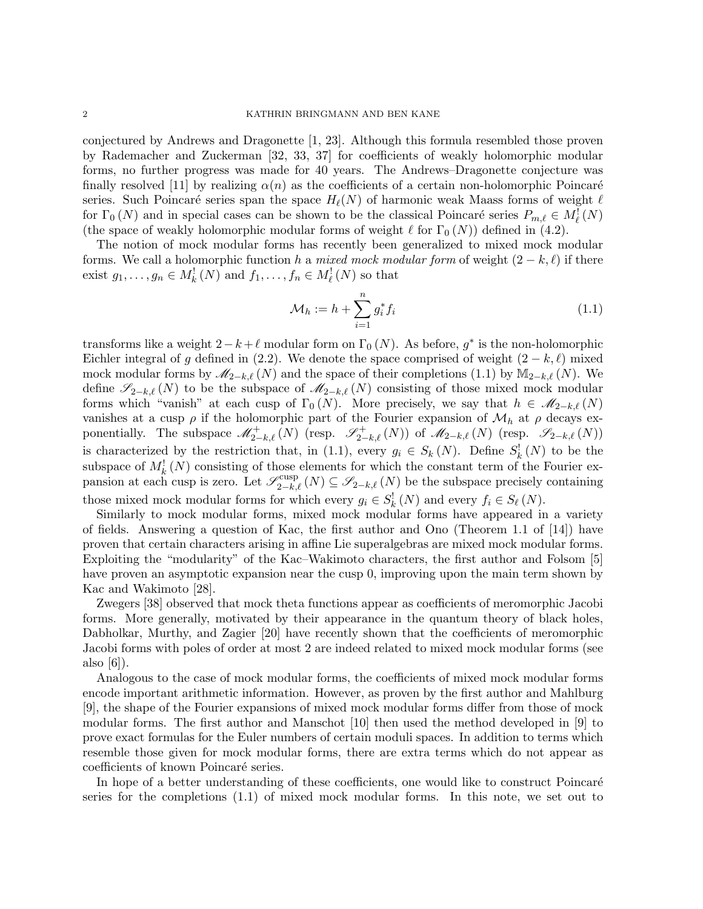conjectured by Andrews and Dragonette [1, 23]. Although this formula resembled those proven by Rademacher and Zuckerman [32, 33, 37] for coefficients of weakly holomorphic modular forms, no further progress was made for 40 years. The Andrews–Dragonette conjecture was finally resolved [11] by realizing  $\alpha(n)$  as the coefficients of a certain non-holomorphic Poincaré series. Such Poincaré series span the space  $H_{\ell}(N)$  of harmonic weak Maass forms of weight  $\ell$ for  $\Gamma_0(N)$  and in special cases can be shown to be the classical Poincaré series  $P_{m,\ell} \in M^1_{\ell}(N)$ (the space of weakly holomorphic modular forms of weight  $\ell$  for  $\Gamma_0 (N)$ ) defined in (4.2).

The notion of mock modular forms has recently been generalized to mixed mock modular forms. We call a holomorphic function h a mixed mock modular form of weight  $(2 - k, \ell)$  if there exist  $g_1, \ldots, g_n \in M^!_k(N)$  and  $f_1, \ldots, f_n \in M^!_{\ell}(N)$  so that

$$
\mathcal{M}_h := h + \sum_{i=1}^n g_i^* f_i \tag{1.1}
$$

transforms like a weight  $2 - k + \ell$  modular form on  $\Gamma_0(N)$ . As before,  $g^*$  is the non-holomorphic Eichler integral of g defined in (2.2). We denote the space comprised of weight  $(2 - k, \ell)$  mixed mock modular forms by  $\mathcal{M}_{2-k,\ell}(N)$  and the space of their completions (1.1) by  $M_{2-k,\ell}(N)$ . We define  $\mathscr{S}_{2-k,\ell}(N)$  to be the subspace of  $\mathscr{M}_{2-k,\ell}(N)$  consisting of those mixed mock modular forms which "vanish" at each cusp of  $\Gamma_0(N)$ . More precisely, we say that  $h \in \mathcal{M}_{2-k,\ell}(N)$ vanishes at a cusp  $\rho$  if the holomorphic part of the Fourier expansion of  $\mathcal{M}_h$  at  $\rho$  decays exponentially. The subspace  $\mathscr{M}^+_{2-k,\ell}(N)$  (resp.  $\mathscr{S}^+_{2-k,\ell}(N)$ ) of  $\mathscr{M}_{2-k,\ell}(N)$  (resp.  $\mathscr{S}_{2-k,\ell}(N)$ ) is characterized by the restriction that, in (1.1), every  $g_i \in S_k(N)$ . Define  $S_k^{\perp}(N)$  to be the subspace of  $M_k^{\{N\}}$  consisting of those elements for which the constant term of the Fourier expansion at each cusp is zero. Let  $\mathscr{S}_{2-k,\ell}^{\text{cusp}}(N) \subseteq \mathscr{S}_{2-k,\ell}(N)$  be the subspace precisely containing those mixed mock modular forms for which every  $g_i \in S_k^{\{1\}}(N)$  and every  $f_i \in S_\ell(N)$ .

Similarly to mock modular forms, mixed mock modular forms have appeared in a variety of fields. Answering a question of Kac, the first author and Ono (Theorem 1.1 of [14]) have proven that certain characters arising in affine Lie superalgebras are mixed mock modular forms. Exploiting the "modularity" of the Kac–Wakimoto characters, the first author and Folsom [5] have proven an asymptotic expansion near the cusp 0, improving upon the main term shown by Kac and Wakimoto [28].

Zwegers [38] observed that mock theta functions appear as coefficients of meromorphic Jacobi forms. More generally, motivated by their appearance in the quantum theory of black holes, Dabholkar, Murthy, and Zagier [20] have recently shown that the coefficients of meromorphic Jacobi forms with poles of order at most 2 are indeed related to mixed mock modular forms (see also [6]).

Analogous to the case of mock modular forms, the coefficients of mixed mock modular forms encode important arithmetic information. However, as proven by the first author and Mahlburg [9], the shape of the Fourier expansions of mixed mock modular forms differ from those of mock modular forms. The first author and Manschot [10] then used the method developed in [9] to prove exact formulas for the Euler numbers of certain moduli spaces. In addition to terms which resemble those given for mock modular forms, there are extra terms which do not appear as coefficients of known Poincaré series.

In hope of a better understanding of these coefficients, one would like to construct Poincaré series for the completions (1.1) of mixed mock modular forms. In this note, we set out to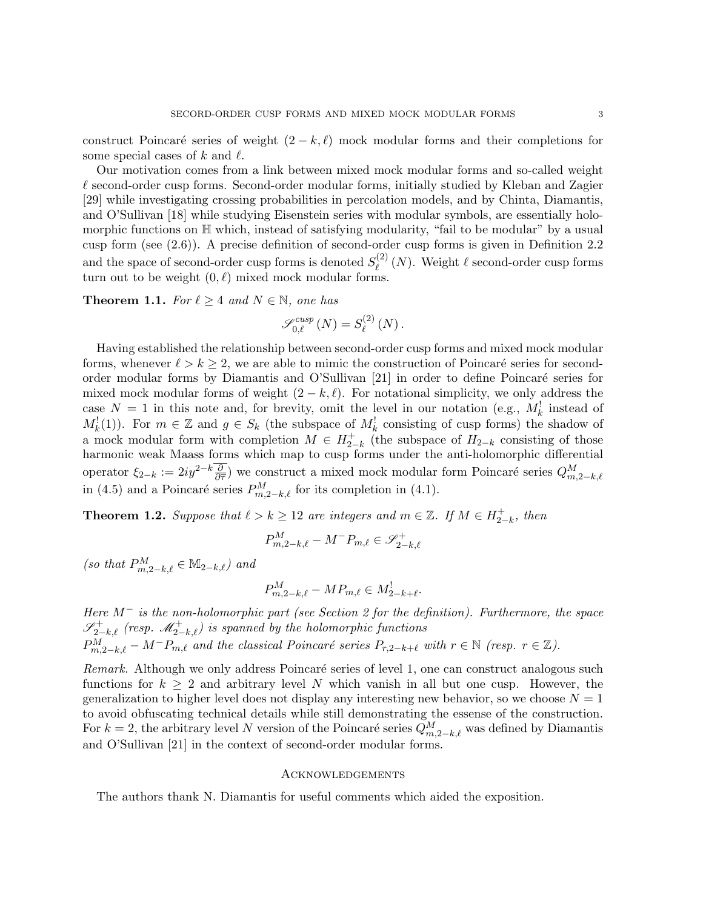construct Poincaré series of weight  $(2 - k, \ell)$  mock modular forms and their completions for some special cases of k and  $\ell$ .

Our motivation comes from a link between mixed mock modular forms and so-called weight  $\ell$  second-order cusp forms. Second-order modular forms, initially studied by Kleban and Zagier [29] while investigating crossing probabilities in percolation models, and by Chinta, Diamantis, and O'Sullivan [18] while studying Eisenstein series with modular symbols, are essentially holomorphic functions on H which, instead of satisfying modularity, "fail to be modular" by a usual cusp form (see (2.6)). A precise definition of second-order cusp forms is given in Definition 2.2 and the space of second-order cusp forms is denoted  $S_{\ell}^{(2)}$  $\ell^{(2)}(N)$ . Weight  $\ell$  second-order cusp forms turn out to be weight  $(0, \ell)$  mixed mock modular forms.

**Theorem 1.1.** For  $\ell \geq 4$  and  $N \in \mathbb{N}$ , one has

$$
\mathcal{S}_{0,\ell}^{cusp}(N) = S_{\ell}^{(2)}(N).
$$

Having established the relationship between second-order cusp forms and mixed mock modular forms, whenever  $\ell > k \geq 2$ , we are able to mimic the construction of Poincaré series for secondorder modular forms by Diamantis and O'Sullivan [21] in order to define Poincaré series for mixed mock modular forms of weight  $(2 - k, \ell)$ . For notational simplicity, we only address the case  $N = 1$  in this note and, for brevity, omit the level in our notation (e.g.,  $M_k^!$  instead of  $M_k^{\{1\}}(1)$ . For  $m \in \mathbb{Z}$  and  $g \in S_k$  (the subspace of  $M_k^{\{1\}}$  consisting of cusp forms) the shadow of a mock modular form with completion  $M \in H_{2}^{+}$  $_{2-k}^{+}$  (the subspace of  $H_{2-k}$  consisting of those harmonic weak Maass forms which map to cusp forms under the anti-holomorphic differential operator  $\xi_{2-k} := 2iy^{2-k}\frac{\partial}{\partial \overline{\tau}}$  we construct a mixed mock modular form Poincaré series  $Q_{m,2-k,\ell}^M$ in (4.5) and a Poincaré series  $P_{m,2-k,\ell}^{M}$  for its completion in (4.1).

**Theorem 1.2.** Suppose that  $\ell > k \geq 12$  are integers and  $m \in \mathbb{Z}$ . If  $M \in H_{2}^+$  $_{2-k}^+$ , then

$$
P_{m,2-k,\ell}^M - M^- P_{m,\ell} \in \mathscr{S}_{2-k,\ell}^+
$$

(so that  $P_{m,2-k,\ell}^M \in \mathbb{M}_{2-k,\ell}$ ) and

$$
P_{m,2-k,\ell}^M - MP_{m,\ell} \in M_{2-k+\ell}^!
$$

Here M<sup>−</sup> is the non-holomorphic part (see Section 2 for the definition). Furthermore, the space  $\mathscr{S}^+_{2-k,\ell}$  (resp.  $\mathscr{M}^+_{2-k,\ell}$ ) is spanned by the holomorphic functions  $P_{m,2-k,\ell}^M - M^-P_{m,\ell}$  and the classical Poincaré series  $P_{r,2-k+\ell}$  with  $r \in \mathbb{N}$  (resp.  $r \in \mathbb{Z}$ ).

Remark. Although we only address Poincaré series of level 1, one can construct analogous such functions for  $k > 2$  and arbitrary level N which vanish in all but one cusp. However, the generalization to higher level does not display any interesting new behavior, so we choose  $N = 1$ to avoid obfuscating technical details while still demonstrating the essense of the construction. For  $k = 2$ , the arbitrary level N version of the Poincaré series  $Q_{m,2-k,\ell}^M$  was defined by Diamantis and O'Sullivan [21] in the context of second-order modular forms.

# **ACKNOWLEDGEMENTS**

The authors thank N. Diamantis for useful comments which aided the exposition.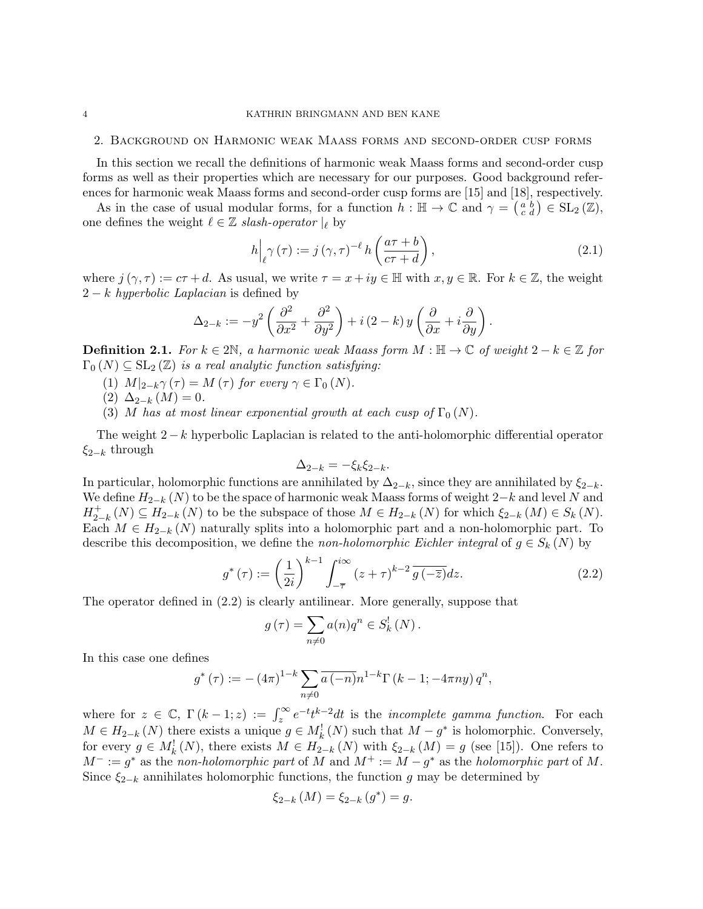# 2. Background on Harmonic weak Maass forms and second-order cusp forms

In this section we recall the definitions of harmonic weak Maass forms and second-order cusp forms as well as their properties which are necessary for our purposes. Good background references for harmonic weak Maass forms and second-order cusp forms are [15] and [18], respectively.

As in the case of usual modular forms, for a function  $h : \mathbb{H} \to \mathbb{C}$  and  $\gamma = \begin{pmatrix} a & b \\ c & d \end{pmatrix} \in SL_2(\mathbb{Z}),$ one defines the weight  $\ell \in \mathbb{Z}$  slash-operator  $|_{\ell}$  by

$$
h\Big|_{\ell} \gamma\left(\tau\right) := j\left(\gamma,\tau\right)^{-\ell} h\left(\frac{a\tau+b}{c\tau+d}\right),\tag{2.1}
$$

where  $j(\gamma, \tau) := c\tau + d$ . As usual, we write  $\tau = x + iy \in \mathbb{H}$  with  $x, y \in \mathbb{R}$ . For  $k \in \mathbb{Z}$ , the weight  $2 - k$  hyperbolic Laplacian is defined by

$$
\Delta_{2-k} := -y^2 \left( \frac{\partial^2}{\partial x^2} + \frac{\partial^2}{\partial y^2} \right) + i (2 - k) y \left( \frac{\partial}{\partial x} + i \frac{\partial}{\partial y} \right).
$$

**Definition 2.1.** For  $k \in 2\mathbb{N}$ , a harmonic weak Maass form  $M : \mathbb{H} \to \mathbb{C}$  of weight  $2 - k \in \mathbb{Z}$  for  $\Gamma_0(N) \subseteq SL_2(\mathbb{Z})$  is a real analytic function satisfying:

- (1)  $M|_{2-k}\gamma(\tau) = M(\tau)$  for every  $\gamma \in \Gamma_0(N)$ .
- (2)  $\Delta_{2-k} (M) = 0.$
- (3) M has at most linear exponential growth at each cusp of  $\Gamma_0(N)$ .

The weight  $2-k$  hyperbolic Laplacian is related to the anti-holomorphic differential operator  $\xi_{2-k}$  through

$$
\Delta_{2-k} = -\xi_k \xi_{2-k}.
$$

In particular, holomorphic functions are annihilated by  $\Delta_{2-k}$ , since they are annihilated by  $\xi_{2-k}$ . We define  $H_{2-k}(N)$  to be the space of harmonic weak Maass forms of weight  $2-k$  and level N and  $H_{2-}^+$  $\mathcal{L}_{2-k}^+(N) \subseteq H_{2-k}(N)$  to be the subspace of those  $M \in H_{2-k}(N)$  for which  $\xi_{2-k}(M) \in S_k(N)$ . Each  $M \in H_{2-k}(N)$  naturally splits into a holomorphic part and a non-holomorphic part. To describe this decomposition, we define the non-holomorphic Eichler integral of  $g \in S_k(N)$  by

$$
g^*(\tau) := \left(\frac{1}{2i}\right)^{k-1} \int_{-\overline{\tau}}^{i\infty} (z+\tau)^{k-2} \overline{g(-\overline{z})} dz.
$$
 (2.2)

The operator defined in (2.2) is clearly antilinear. More generally, suppose that

$$
g(\tau) = \sum_{n \neq 0} a(n)q^n \in S_k^!(N).
$$

In this case one defines

$$
g^{*}(\tau) := -(4\pi)^{1-k} \sum_{n \neq 0} \overline{a(-n)} n^{1-k} \Gamma(k-1; -4\pi ny) q^{n},
$$

where for  $z \in \mathbb{C}$ ,  $\Gamma(k-1; z) := \int_{z}^{\infty} e^{-t} t^{k-2} dt$  is the *incomplete gamma function*. For each  $M \in H_{2-k}(N)$  there exists a unique  $g \in M_k^1(N)$  such that  $M - g^*$  is holomorphic. Conversely, for every  $g \in M_k^!(N)$ , there exists  $M \in H_{2-k}(N)$  with  $\xi_{2-k}(M) = g$  (see [15]). One refers to  $M^- := g^*$  as the non-holomorphic part of M and  $M^+ := M - g^*$  as the holomorphic part of M. Since  $\xi_{2-k}$  annihilates holomorphic functions, the function g may be determined by

$$
\xi_{2-k}(M) = \xi_{2-k}(g^*) = g.
$$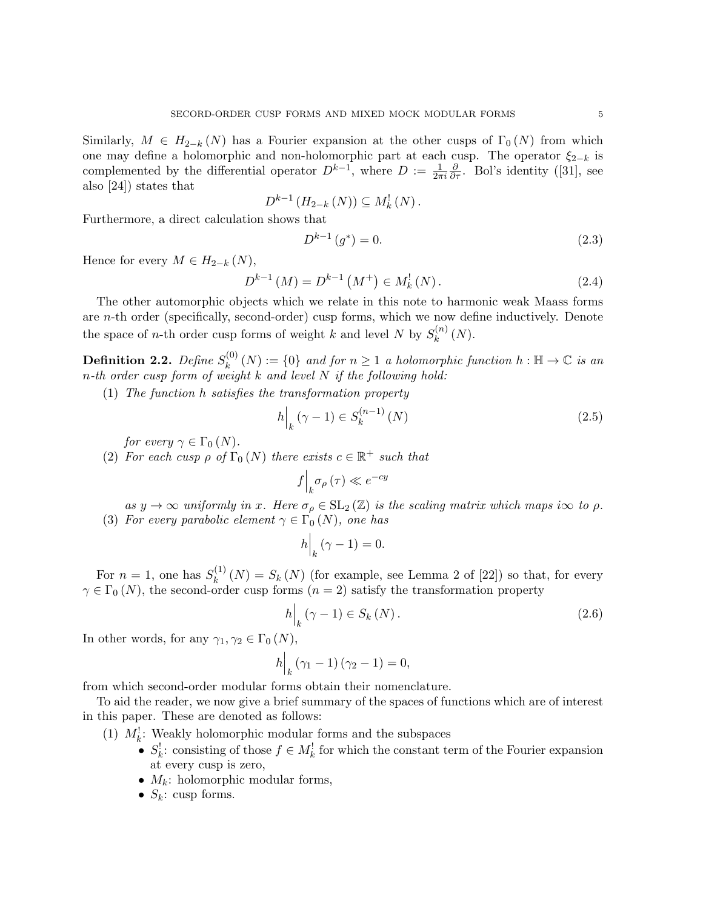Similarly,  $M \in H_{2-k}(N)$  has a Fourier expansion at the other cusps of  $\Gamma_0(N)$  from which one may define a holomorphic and non-holomorphic part at each cusp. The operator  $\xi_{2-k}$  is complemented by the differential operator  $D^{k-1}$ , where  $D := \frac{1}{2\pi i}$  $\frac{\partial}{\partial \tau}$ . Bol's identity ([31], see also [24]) states that

$$
D^{k-1} (H_{2-k} (N)) \subseteq M_k^!(N).
$$

Furthermore, a direct calculation shows that

$$
D^{k-1}(g^*) = 0.\t\t(2.3)
$$

Hence for every  $M \in H_{2-k}(N)$ ,

$$
D^{k-1}(M) = D^{k-1}(M^+) \in M_k^!(N).
$$
\n(2.4)

The other automorphic objects which we relate in this note to harmonic weak Maass forms are n-th order (specifically, second-order) cusp forms, which we now define inductively. Denote the space of *n*-th order cusp forms of weight k and level N by  $S_k^{(n)}$  $\binom{n}{k}$   $(N)$ .

Definition 2.2. Define  $S_k^{(0)}$  $k_k^{(0)}(N) := \{0\}$  and for  $n \geq 1$  a holomorphic function  $h : \mathbb{H} \to \mathbb{C}$  is an n-th order cusp form of weight k and level N if the following hold:

(1) The function h satisfies the transformation property

$$
h\Big|_{k} (\gamma - 1) \in S_{k}^{(n-1)} (N)
$$
\n(2.5)

for every  $\gamma \in \Gamma_0(N)$ .

(2) For each cusp  $\rho$  of  $\Gamma_0(N)$  there exists  $c \in \mathbb{R}^+$  such that

$$
f\Big|_{k} \sigma_{\rho}(\tau) \ll e^{-cy}
$$

as  $y \to \infty$  uniformly in x. Here  $\sigma_{\rho} \in SL_2(\mathbb{Z})$  is the scaling matrix which maps i $\infty$  to  $\rho$ . (3) For every parabolic element  $\gamma \in \Gamma_0(N)$ , one has

$$
h\Big|_k(\gamma - 1) = 0.
$$

For  $n=1$ , one has  $S_k^{(1)}$  $\chi_k^{(1)}(N) = S_k(N)$  (for example, see Lemma 2 of [22]) so that, for every  $\gamma \in \Gamma_0(N)$ , the second-order cusp forms  $(n = 2)$  satisfy the transformation property

$$
h\Big|_{k} \left(\gamma - 1\right) \in S_{k} \left(N\right). \tag{2.6}
$$

In other words, for any  $\gamma_1, \gamma_2 \in \Gamma_0(N)$ ,

$$
h\Big|_k (\gamma_1 - 1) (\gamma_2 - 1) = 0,
$$

from which second-order modular forms obtain their nomenclature.

To aid the reader, we now give a brief summary of the spaces of functions which are of interest in this paper. These are denoted as follows:

- (1)  $M_k^!$ : Weakly holomorphic modular forms and the subspaces
	- $S_k^!$ : consisting of those  $f \in M_k^!$  for which the constant term of the Fourier expansion at every cusp is zero,
	- $M_k$ : holomorphic modular forms,
	- $S_k$ : cusp forms.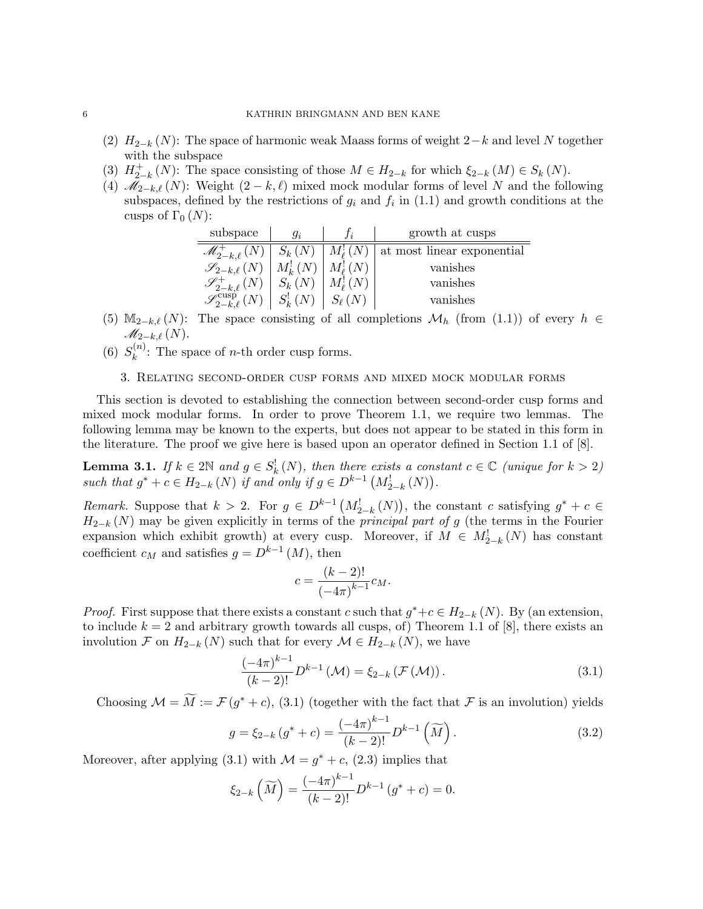- (2)  $H_{2-k}(N)$ : The space of harmonic weak Maass forms of weight  $2-k$  and level N together with the subspace
- $(3)$   $H_{2}^{+}$ <sup>+</sup><sub>2−k</sub> (N): The space consisting of those  $M \in H_{2-k}$  for which  $\xi_{2-k}(M) \in S_k(N)$ .
- (4)  $\mathcal{M}_{2-k,\ell}(N)$ : Weight  $(2-k,\ell)$  mixed mock modular forms of level N and the following subspaces, defined by the restrictions of  $g_i$  and  $f_i$  in (1.1) and growth conditions at the cusps of  $\Gamma_0(N)$ :

| subspace                                                                     | $q_i$         |                 | growth at cusps            |
|------------------------------------------------------------------------------|---------------|-----------------|----------------------------|
| $\mathscr{M}^+_{2-k,\ell}(N)$                                                | $S_k(N)$      | $M_\ell^!(N)$   | at most linear exponential |
| $\mathscr{S}_{2-k,\ell}(N)$                                                  | $M_k^!(N)$    | $M_{\ell}^!(N)$ | vanishes                   |
|                                                                              | $S_k(N)$      | $M_{\ell}^!(N)$ | vanishes                   |
| $\mathscr{S}_{2-k,\ell}^{+}(N)$<br>$\mathscr{S}_{2-k,\ell}^{\text{cusp}}(N)$ | $S_k^!$ $(N)$ | $S_{\ell}(N)$   | vanishes                   |

- (5) M<sub>2−k</sub> $\ell$  (N): The space consisting of all completions  $\mathcal{M}_h$  (from (1.1)) of every  $h \in$  $\mathscr{M}_{2-k,\ell}\left( N\right)$ .
- $(6) S_k^{(n)}$  $\kappa^{(n)}$ : The space of *n*-th order cusp forms.

# 3. Relating second-order cusp forms and mixed mock modular forms

This section is devoted to establishing the connection between second-order cusp forms and mixed mock modular forms. In order to prove Theorem 1.1, we require two lemmas. The following lemma may be known to the experts, but does not appear to be stated in this form in the literature. The proof we give here is based upon an operator defined in Section 1.1 of [8].

**Lemma 3.1.** If  $k \in 2\mathbb{N}$  and  $g \in S_k^{\perp}(N)$ , then there exists a constant  $c \in \mathbb{C}$  (unique for  $k > 2$ ) such that  $g^* + c \in H_{2-k}(N)$  if and only if  $g \in D^{k-1}(M_{2-k}^!(N)).$ 

Remark. Suppose that  $k > 2$ . For  $g \in D^{k-1}(M^!_{2-k}(N))$ , the constant c satisfying  $g^* + c \in$  $H_{2-k}(N)$  may be given explicitly in terms of the *principal part of g* (the terms in the Fourier expansion which exhibit growth) at every cusp. Moreover, if  $M \in M^!_{2-k}(N)$  has constant coefficient  $c_M$  and satisfies  $g = D^{k-1}(M)$ , then

$$
c = \frac{(k-2)!}{(-4\pi)^{k-1}} c_M.
$$

*Proof.* First suppose that there exists a constant c such that  $g^* + c \in H_{2-k}(N)$ . By (an extension, to include  $k = 2$  and arbitrary growth towards all cusps, of) Theorem 1.1 of [8], there exists an involution F on  $H_{2-k}(N)$  such that for every  $\mathcal{M} \in H_{2-k}(N)$ , we have

$$
\frac{(-4\pi)^{k-1}}{(k-2)!}D^{k-1}(\mathcal{M}) = \xi_{2-k}(\mathcal{F}(\mathcal{M})).
$$
\n(3.1)

Choosing  $\mathcal{M} = \widetilde{M} := \mathcal{F}(g^* + c)$ , (3.1) (together with the fact that  $\mathcal{F}$  is an involution) yields

$$
g = \xi_{2-k} \left( g^* + c \right) = \frac{(-4\pi)^{k-1}}{(k-2)!} D^{k-1} \left( \widetilde{M} \right). \tag{3.2}
$$

Moreover, after applying (3.1) with  $\mathcal{M} = g^* + c$ , (2.3) implies that

$$
\xi_{2-k}\left(\widetilde{M}\right) = \frac{(-4\pi)^{k-1}}{(k-2)!}D^{k-1}\left(g^*+c\right) = 0.
$$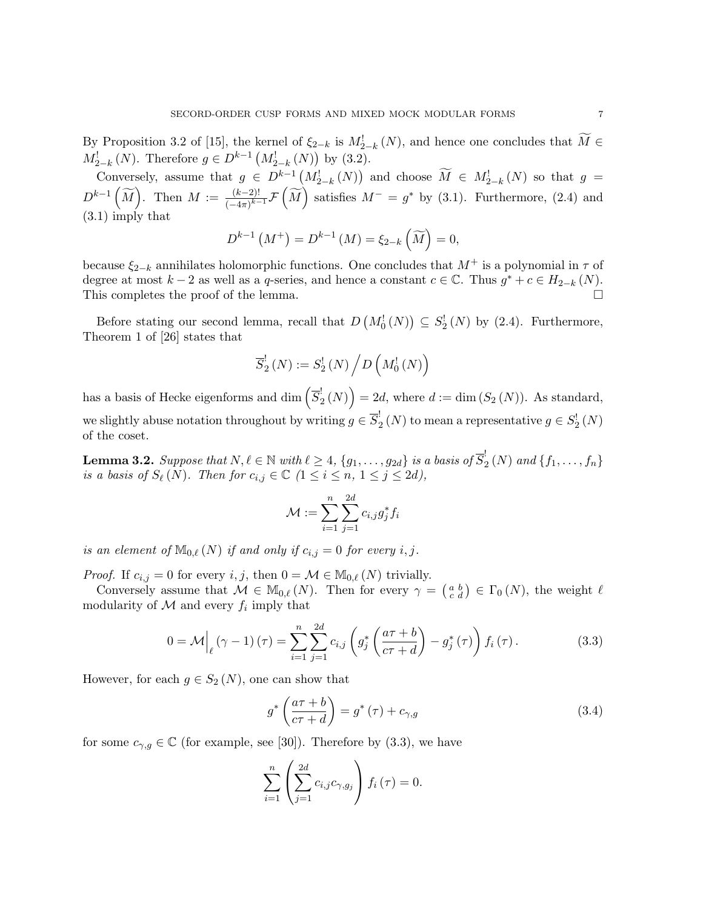By Proposition 3.2 of [15], the kernel of  $\xi_{2-k}$  is  $M_{2-k}^{\dagger}(N)$ , and hence one concludes that  $\widetilde{M} \in$  $M_{2-k}^{\dagger}(N)$ . Therefore  $g \in D^{k-1}(M_{2-k}^{\dagger}(N))$  by (3.2).

Conversely, assume that  $g \in D^{k-1}(M^!_{2-k}(N))$  and choose  $M \in M^!_{2-k}(N)$  so that  $g =$  $D^{k-1}(\widetilde{M})$ . Then  $M := \frac{(k-2)!}{(-4\pi)^{k-1}}$  $\frac{(k-2)!}{(-4\pi)^{k-1}} \mathcal{F}(\widetilde{M})$  satisfies  $M^- = g^*$  by (3.1). Furthermore, (2.4) and (3.1) imply that

$$
D^{k-1}(M^{+}) = D^{k-1}(M) = \xi_{2-k}(\widetilde{M}) = 0,
$$

because  $\xi_{2-k}$  annihilates holomorphic functions. One concludes that  $M^+$  is a polynomial in  $\tau$  of degree at most  $k-2$  as well as a q-series, and hence a constant  $c \in \mathbb{C}$ . Thus  $g^* + c \in H_{2-k}(N)$ . This completes the proof of the lemma.

Before stating our second lemma, recall that  $D(M_0^!(N)) \subseteq S_2^!(N)$  by (2.4). Furthermore, Theorem 1 of [26] states that

$$
\overline{S}_{2}^{!}(N):=S_{2}^{!}(N)\left/D\left(M_{0}^{!}(N)\right)\right)
$$

has a basis of Hecke eigenforms and  $\dim\left(\overline{S}_{2}^{!}\right)$  $\binom{!}{2}(N)$  = 2d, where  $d := \dim(S_2(N))$ . As standard, we slightly abuse notation throughout by writing  $g \in \overline{S}_2^!$  $2(N)$  to mean a representative  $g \in S_2^!(N)$ of the coset.

**Lemma 3.2.** Suppose that  $N, \ell \in \mathbb{N}$  with  $\ell \geq 4, \{g_1, \ldots, g_{2d}\}$  is a basis of  $\overline{S}_2^!$  $2(N)$  and  $\{f_1, \ldots, f_n\}$ is a basis of  $S_{\ell}(N)$ . Then for  $c_{i,j} \in \mathbb{C}$   $(1 \leq i \leq n, 1 \leq j \leq 2d)$ ,

$$
\mathcal{M} := \sum_{i=1}^n \sum_{j=1}^{2d} c_{i,j} g_j^* f_i
$$

is an element of  $\mathbb{M}_{0,\ell}(N)$  if and only if  $c_{i,j} = 0$  for every i, j.

*Proof.* If  $c_{i,j} = 0$  for every i, j, then  $0 = \mathcal{M} \in M_{0,\ell}(N)$  trivially.

Conversely assume that  $\mathcal{M} \in M_{0,\ell}(N)$ . Then for every  $\gamma = \begin{pmatrix} a & b \\ c & d \end{pmatrix} \in \Gamma_0(N)$ , the weight  $\ell$ modularity of  $\mathcal M$  and every  $f_i$  imply that

$$
0 = \mathcal{M}\Big|_{\ell} \left(\gamma - 1\right)\left(\tau\right) = \sum_{i=1}^{n} \sum_{j=1}^{2d} c_{i,j} \left(g_j^* \left(\frac{a\tau + b}{c\tau + d}\right) - g_j^* \left(\tau\right)\right) f_i \left(\tau\right). \tag{3.3}
$$

However, for each  $g \in S_2(N)$ , one can show that

$$
g^* \left( \frac{a\tau + b}{c\tau + d} \right) = g^* \left( \tau \right) + c_{\gamma, g} \tag{3.4}
$$

for some  $c_{\gamma,g} \in \mathbb{C}$  (for example, see [30]). Therefore by (3.3), we have

$$
\sum_{i=1}^{n} \left( \sum_{j=1}^{2d} c_{i,j} c_{\gamma,g_j} \right) f_i(\tau) = 0.
$$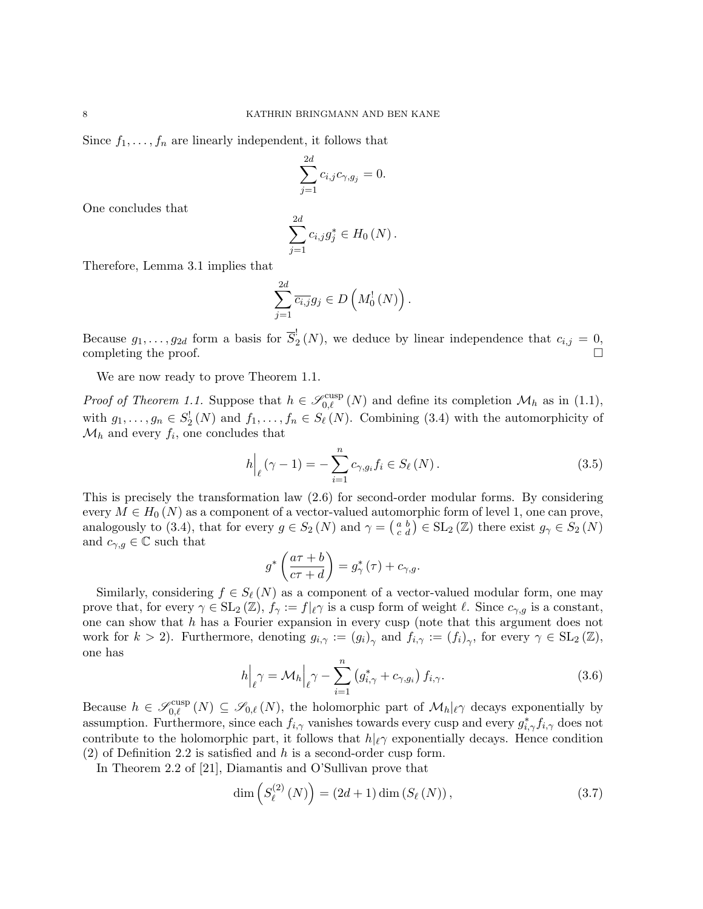Since  $f_1, \ldots, f_n$  are linearly independent, it follows that

$$
\sum_{j=1}^{2d} c_{i,j} c_{\gamma, g_j} = 0.
$$

One concludes that

$$
\sum_{j=1}^{2d} c_{i,j} g_j^* \in H_0(N) .
$$

Therefore, Lemma 3.1 implies that

$$
\sum_{j=1}^{2d} \overline{c_{i,j}} g_j \in D\left(M_0^!(N)\right).
$$

Because  $g_1, \ldots, g_{2d}$  form a basis for  $\overline{S}_2^!$  $c_2(N)$ , we deduce by linear independence that  $c_{i,j} = 0$ , completing the proof.

We are now ready to prove Theorem 1.1.

*Proof of Theorem 1.1.* Suppose that  $h \in \mathscr{S}_{0,\ell}^{\text{cusp}}(N)$  and define its completion  $\mathcal{M}_h$  as in (1.1), with  $g_1, \ldots, g_n \in S_2^!$  (N) and  $f_1, \ldots, f_n \in S_\ell(N)$ . Combining (3.4) with the automorphicity of  $\mathcal{M}_h$  and every  $f_i$ , one concludes that

$$
h\Big|_{\ell}(\gamma - 1) = -\sum_{i=1}^{n} c_{\gamma, g_i} f_i \in S_{\ell}(N).
$$
 (3.5)

This is precisely the transformation law (2.6) for second-order modular forms. By considering every  $M \in H_0(N)$  as a component of a vector-valued automorphic form of level 1, one can prove, analogously to (3.4), that for every  $g \in S_2(N)$  and  $\gamma = \begin{pmatrix} a & b \\ c & d \end{pmatrix} \in SL_2(\mathbb{Z})$  there exist  $g_{\gamma} \in S_2(N)$ and  $c_{\gamma,g} \in \mathbb{C}$  such that

$$
g^* \left( \frac{a \tau + b}{c \tau + d} \right) = g^*_{\gamma} (\tau) + c_{\gamma, g}.
$$

Similarly, considering  $f \in S_{\ell}(N)$  as a component of a vector-valued modular form, one may prove that, for every  $\gamma \in SL_2(\mathbb{Z})$ ,  $f_{\gamma} := f|_{\ell} \gamma$  is a cusp form of weight  $\ell$ . Since  $c_{\gamma,q}$  is a constant, one can show that h has a Fourier expansion in every cusp (note that this argument does not work for  $k > 2$ ). Furthermore, denoting  $g_{i,\gamma} := (g_i)_{\gamma}$  and  $f_{i,\gamma} := (f_i)_{\gamma}$ , for every  $\gamma \in SL_2(\mathbb{Z})$ , one has

$$
h\Big|_{\ell}\gamma = \mathcal{M}_h\Big|_{\ell}\gamma - \sum_{i=1}^n \left(g_{i,\gamma}^* + c_{\gamma,g_i}\right)f_{i,\gamma}.\tag{3.6}
$$

Because  $h \in \mathscr{S}_{0,\ell}^{\text{cusp}}(N) \subseteq \mathscr{S}_{0,\ell}(N)$ , the holomorphic part of  $\mathcal{M}_h|_{\ell}$  decays exponentially by assumption. Furthermore, since each  $f_{i,\gamma}$  vanishes towards every cusp and every  $g_{i,\gamma}^* f_{i,\gamma}$  does not contribute to the holomorphic part, it follows that  $h|_{\ell} \gamma$  exponentially decays. Hence condition  $(2)$  of Definition 2.2 is satisfied and h is a second-order cusp form.

In Theorem 2.2 of [21], Diamantis and O'Sullivan prove that

$$
\dim\left(S_{\ell}^{(2)}(N)\right) = (2d+1)\dim\left(S_{\ell}(N)\right),\tag{3.7}
$$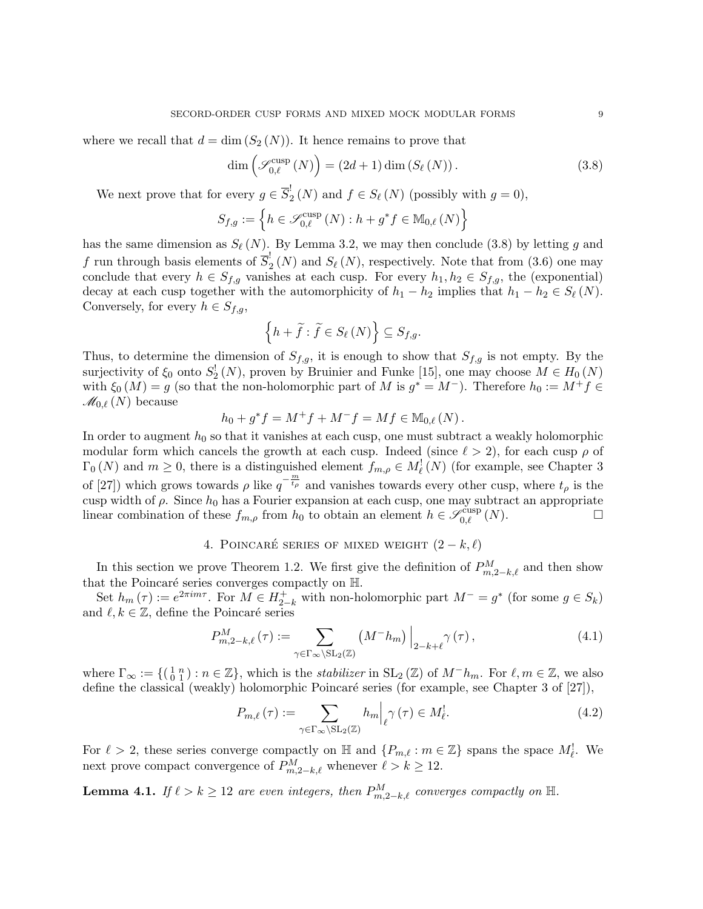where we recall that  $d = \dim (S_2(N))$ . It hence remains to prove that

$$
\dim\left(\mathcal{S}_{0,\ell}^{\text{cusp}}\left(N\right)\right) = \left(2d+1\right)\dim\left(S_{\ell}\left(N\right)\right). \tag{3.8}
$$

We next prove that for every  $g \in \overline{S}_2^!$  $j_2(N)$  and  $f \in S_{\ell}(N)$  (possibly with  $g = 0$ ),

$$
S_{f,g} := \left\{ h \in \mathscr{S}_{0,\ell}^{\text{cusp}}\left(N\right) : h + g^*f \in \mathbb{M}_{0,\ell}\left(N\right) \right\}
$$

has the same dimension as  $S_{\ell}(N)$ . By Lemma 3.2, we may then conclude (3.8) by letting g and f run through basis elements of  $\overline{S}_2^!$  $2(N)$  and  $S_{\ell}(N)$ , respectively. Note that from  $(3.6)$  one may conclude that every  $h \in S_{f,g}$  vanishes at each cusp. For every  $h_1, h_2 \in S_{f,g}$ , the (exponential) decay at each cusp together with the automorphicity of  $h_1 - h_2$  implies that  $h_1 - h_2 \in S_{\ell}(N)$ . Conversely, for every  $h \in S_{f,g}$ ,

$$
\left\{h+\widetilde{f}:\widetilde{f}\in S_{\ell }\left(N\right)\right\}\subseteq S_{f,g}.
$$

Thus, to determine the dimension of  $S_{f,g}$ , it is enough to show that  $S_{f,g}$  is not empty. By the surjectivity of  $\xi_0$  onto  $S_2^!(N)$ , proven by Bruinier and Funke [15], one may choose  $M \in H_0(N)$ with  $\xi_0(M) = g$  (so that the non-holomorphic part of M is  $g^* = M^-$ ). Therefore  $h_0 := M^+ f \in$  $\mathcal{M}_{0,\ell}(N)$  because

$$
h_0 + g^* f = M^+ f + M^- f = M f \in M_{0,\ell}(N) .
$$

In order to augment  $h_0$  so that it vanishes at each cusp, one must subtract a weakly holomorphic modular form which cancels the growth at each cusp. Indeed (since  $\ell > 2$ ), for each cusp  $\rho$  of  $\Gamma_0(N)$  and  $m \geq 0$ , there is a distinguished element  $f_{m,\rho} \in M_{\ell}^1(N)$  (for example, see Chapter 3 of [27]) which grows towards  $\rho$  like  $q^{-\frac{m}{t_{\rho}}}$  and vanishes towards every other cusp, where  $t_{\rho}$  is the cusp width of  $\rho$ . Since  $h_0$  has a Fourier expansion at each cusp, one may subtract an appropriate linear combination of these  $f_{m,\rho}$  from  $h_0$  to obtain an element  $h \in \mathscr{S}_{0,\ell}^{\text{cusp}}(N)$ .

# 4. POINCARÉ SERIES OF MIXED WEIGHT  $(2 - k, \ell)$

In this section we prove Theorem 1.2. We first give the definition of  $P_{m,2-k,\ell}^M$  and then show that the Poincaré series converges compactly on  $H$ .

Set  $h_m(\tau) := e^{2\pi im\tau}$ . For  $M \in H_{2-k}^+$  with non-holomorphic part  $M^- = g^*$  (for some  $g \in S_k$ ) and  $\ell, k \in \mathbb{Z}$ , define the Poincaré series

$$
P_{m,2-k,\ell}^{M}(\tau) := \sum_{\gamma \in \Gamma_{\infty} \backslash \mathrm{SL}_2(\mathbb{Z})} \left( M^{-} h_{m} \right) \Big|_{2-k+\ell} \gamma(\tau) , \tag{4.1}
$$

where  $\Gamma_{\infty} := \{(\begin{smallmatrix} 1 & n \\ 0 & 1 \end{smallmatrix}) : n \in \mathbb{Z}\},\$  which is the *stabilizer* in  $SL_2(\mathbb{Z})$  of  $M^-h_m$ . For  $\ell, m \in \mathbb{Z}$ , we also define the classical (weakly) holomorphic Poincaré series (for example, see Chapter 3 of  $[27]$ ),

$$
P_{m,\ell}(\tau) := \sum_{\gamma \in \Gamma_{\infty} \backslash \mathrm{SL}_2(\mathbb{Z})} h_m \Big|_{\ell} \gamma(\tau) \in M_{\ell}^!.
$$
 (4.2)

For  $\ell > 2$ , these series converge compactly on  $\mathbb{H}$  and  $\{P_{m,\ell} : m \in \mathbb{Z}\}\$  spans the space  $M_{\ell}^!$ . We next prove compact convergence of  $P_{m,2-k,\ell}^M$  whenever  $\ell > k \geq 12$ .

**Lemma 4.1.** If  $\ell > k \geq 12$  are even integers, then  $P_{m,2-k,\ell}^M$  converges compactly on  $\mathbb{H}$ .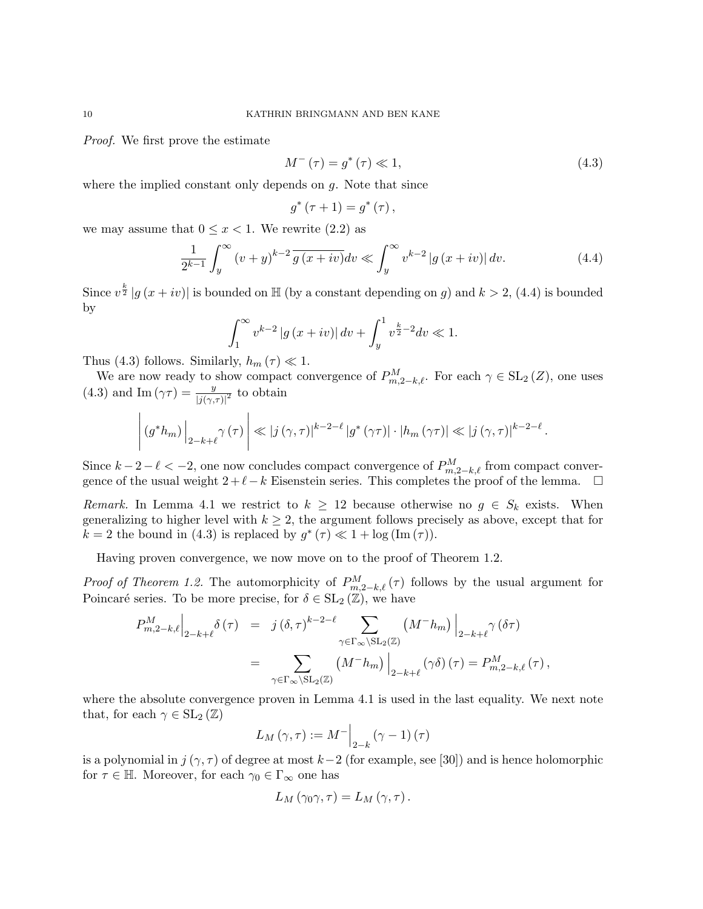Proof. We first prove the estimate

$$
M^{-}(\tau) = g^*(\tau) \ll 1,
$$
\n
$$
(4.3)
$$

where the implied constant only depends on  $q$ . Note that since

$$
g^{\ast}\left( \tau+1\right) =g^{\ast}\left( \tau\right) ,
$$

we may assume that  $0 \leq x < 1$ . We rewrite (2.2) as

$$
\frac{1}{2^{k-1}}\int_{y}^{\infty} \left(v+y\right)^{k-2} \overline{g\left(x+iv\right)} dv \ll \int_{y}^{\infty} v^{k-2} \left|g\left(x+iv\right)\right| dv. \tag{4.4}
$$

Since  $v^{\frac{k}{2}} |g(x+iv)|$  is bounded on H (by a constant depending on g) and  $k > 2$ , (4.4) is bounded by

$$
\int_{1}^{\infty} v^{k-2} |g(x+iv)| dv + \int_{y}^{1} v^{\frac{k}{2}-2} dv \ll 1.
$$

Thus (4.3) follows. Similarly,  $h_m(\tau) \ll 1$ .

We are now ready to show compact convergence of  $P_{m,2-k,\ell}^M$ . For each  $\gamma \in SL_2(Z)$ , one uses (4.3) and Im  $(\gamma \tau) = \frac{y}{|j(\gamma,\tau)|^2}$  to obtain

$$
\left| \left( g^* h_m \right) \right|_{2-k+\ell} \gamma(\tau) \right| \ll |j(\gamma, \tau)|^{k-2-\ell} |g^*(\gamma \tau)| \cdot |h_m(\gamma \tau)| \ll |j(\gamma, \tau)|^{k-2-\ell}.
$$

Since  $k-2-\ell < -2$ , one now concludes compact convergence of  $P_{m,2-k,\ell}^M$  from compact convergence of the usual weight  $2+\ell-k$  Eisenstein series. This completes the proof of the lemma.  $\square$ 

Remark. In Lemma 4.1 we restrict to  $k \geq 12$  because otherwise no  $g \in S_k$  exists. When generalizing to higher level with  $k \geq 2$ , the argument follows precisely as above, except that for  $k = 2$  the bound in (4.3) is replaced by  $g^*(\tau) \ll 1 + \log(\text{Im}(\tau))$ .

Having proven convergence, we now move on to the proof of Theorem 1.2.

*Proof of Theorem 1.2.* The automorphicity of  $P_{m,2-k,\ell}^M(\tau)$  follows by the usual argument for Poincaré series. To be more precise, for  $\delta \in SL_2(\mathbb{Z})$ , we have

$$
P_{m,2-k,\ell}^{M}\Big|_{2-k+\ell} \delta(\tau) = j(\delta,\tau)^{k-2-\ell} \sum_{\gamma \in \Gamma_{\infty} \backslash \mathrm{SL}_2(\mathbb{Z})} (M^{-}h_m) \Big|_{2-k+\ell} \gamma(\delta \tau)
$$
  
= 
$$
\sum_{\gamma \in \Gamma_{\infty} \backslash \mathrm{SL}_2(\mathbb{Z})} (M^{-}h_m) \Big|_{2-k+\ell} (\gamma \delta)(\tau) = P_{m,2-k,\ell}^{M}(\tau),
$$

where the absolute convergence proven in Lemma 4.1 is used in the last equality. We next note that, for each  $\gamma \in SL_2(\mathbb{Z})$ 

$$
L_M(\gamma,\tau) := M^{-} \Big|_{2-k} (\gamma - 1) (\tau)
$$

is a polynomial in  $j(\gamma, \tau)$  of degree at most  $k-2$  (for example, see [30]) and is hence holomorphic for  $\tau \in \mathbb{H}$ . Moreover, for each  $\gamma_0 \in \Gamma_\infty$  one has

$$
L_M(\gamma_0\gamma,\tau)=L_M(\gamma,\tau).
$$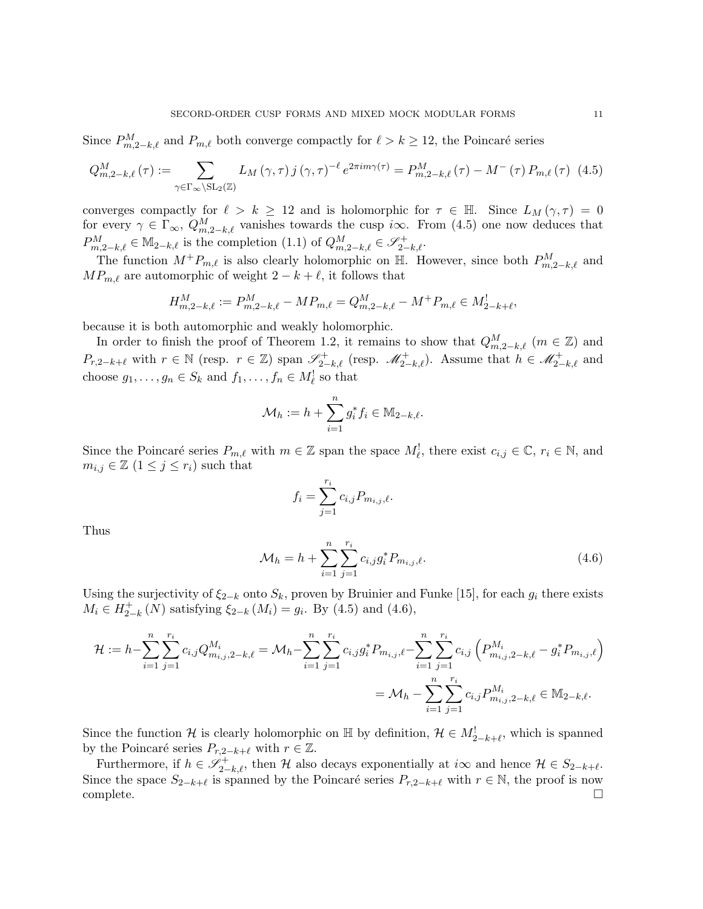Since  $P_{m,2-k,\ell}^M$  and  $P_{m,\ell}$  both converge compactly for  $\ell > k \geq 12$ , the Poincaré series

$$
Q_{m,2-k,\ell}^{M}(\tau) := \sum_{\gamma \in \Gamma_{\infty} \backslash \mathrm{SL}_2(\mathbb{Z})} L_M(\gamma,\tau) j(\gamma,\tau)^{-\ell} e^{2\pi i m \gamma(\tau)} = P_{m,2-k,\ell}^{M}(\tau) - M^{-}(\tau) P_{m,\ell}(\tau) \tag{4.5}
$$

converges compactly for  $\ell > k \ge 12$  and is holomorphic for  $\tau \in \mathbb{H}$ . Since  $L_M(\gamma, \tau) = 0$ for every  $\gamma \in \Gamma_{\infty}$ ,  $Q_{m,2-k,\ell}^{M}$  vanishes towards the cusp i $\infty$ . From (4.5) one now deduces that  $P_{m,2-k,\ell}^M \in \mathbb{M}_{2-k,\ell}$  is the completion  $(1.1)$  of  $Q_{m,2-k,\ell}^M \in \mathscr{S}_{2-k,\ell}^+$ .

The function  $M^+P_{m,\ell}$  is also clearly holomorphic on H. However, since both  $P_{m,2-k,\ell}^M$  and  $MP_{m,\ell}$  are automorphic of weight  $2 - k + \ell$ , it follows that

$$
H_{m,2-k,\ell}^M := P_{m,2-k,\ell}^M - MP_{m,\ell} = Q_{m,2-k,\ell}^M - M^+ P_{m,\ell} \in M_{2-k+\ell}^1,
$$

because it is both automorphic and weakly holomorphic.

In order to finish the proof of Theorem 1.2, it remains to show that  $Q_{m,2-k,\ell}^M$  ( $m \in \mathbb{Z}$ ) and  $P_{r,2-k+\ell}$  with  $r \in \mathbb{N}$  (resp.  $r \in \mathbb{Z}$ ) span  $\mathscr{S}_{2-k,\ell}^+$  (resp.  $\mathscr{M}_{2-k,\ell}^+$ ). Assume that  $h \in \mathscr{M}_{2-k,\ell}^+$  and choose  $g_1, \ldots, g_n \in S_k$  and  $f_1, \ldots, f_n \in M_{\ell}^!$  so that

$$
\mathcal{M}_h := h + \sum_{i=1}^n g_i^* f_i \in \mathbb{M}_{2-k,\ell}.
$$

Since the Poincaré series  $P_{m,\ell}$  with  $m \in \mathbb{Z}$  span the space  $M'_{\ell}$ , there exist  $c_{i,j} \in \mathbb{C}$ ,  $r_i \in \mathbb{N}$ , and  $m_{i,j} \in \mathbb{Z}$   $(1 \leq j \leq r_i)$  such that

$$
f_i = \sum_{j=1}^{r_i} c_{i,j} P_{m_{i,j},\ell}.
$$

Thus

$$
\mathcal{M}_h = h + \sum_{i=1}^n \sum_{j=1}^{r_i} c_{i,j} g_i^* P_{m_{i,j},\ell}.
$$
\n(4.6)

Using the surjectivity of  $\xi_{2-k}$  onto  $S_k$ , proven by Bruinier and Funke [15], for each  $g_i$  there exists  $M_i \in H_{2}^+$  $j_{2-k}^+(N)$  satisfying  $\xi_{2-k}(M_i) = g_i$ . By (4.5) and (4.6),

$$
\mathcal{H} := h - \sum_{i=1}^{n} \sum_{j=1}^{r_i} c_{i,j} Q_{m_{i,j},2-k,\ell}^{M_i} = \mathcal{M}_h - \sum_{i=1}^{n} \sum_{j=1}^{r_i} c_{i,j} g_i^* P_{m_{i,j},\ell} - \sum_{i=1}^{n} \sum_{j=1}^{r_i} c_{i,j} \left( P_{m_{i,j},2-k,\ell}^{M_i} - g_i^* P_{m_{i,j},\ell} \right)
$$

$$
= \mathcal{M}_h - \sum_{i=1}^{n} \sum_{j=1}^{r_i} c_{i,j} P_{m_{i,j},2-k,\ell}^{M_i} \in \mathbb{M}_{2-k,\ell}.
$$

Since the function H is clearly holomorphic on  $\mathbb{H}$  by definition,  $\mathcal{H} \in M^!_{2-k+\ell}$ , which is spanned by the Poincaré series  $P_{r,2-k+\ell}$  with  $r \in \mathbb{Z}$ .

Furthermore, if  $h \in \mathscr{S}_{2-k,\ell}^+$ , then H also decays exponentially at  $i\infty$  and hence  $\mathcal{H} \in S_{2-k+\ell}$ . Since the space  $S_{2-k+\ell}$  is spanned by the Poincaré series  $P_{r,2-k+\ell}$  with  $r \in \mathbb{N}$ , the proof is now complete. □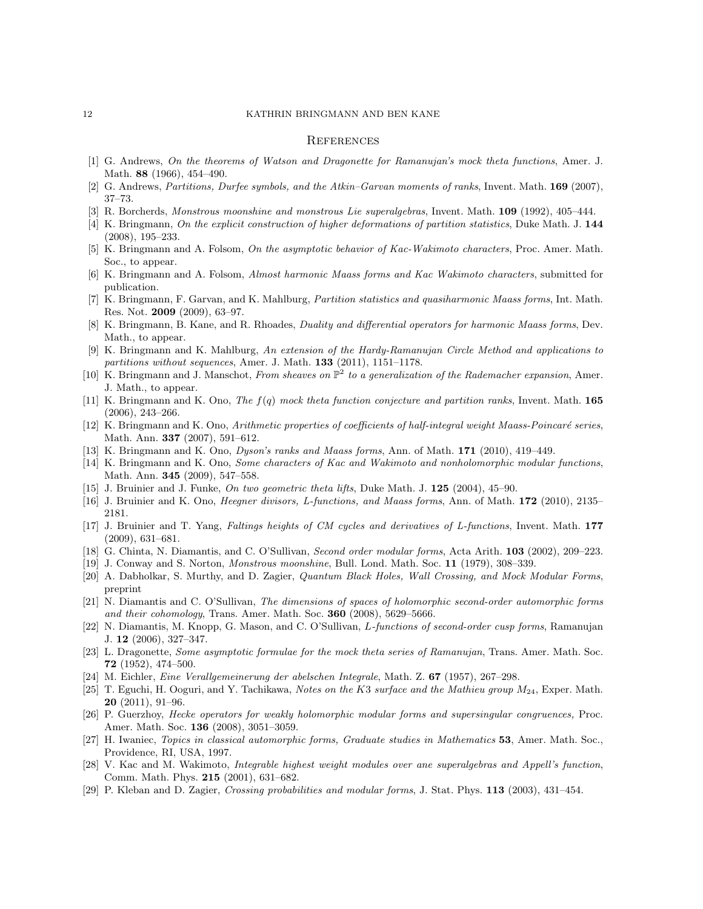#### 12 KATHRIN BRINGMANN AND BEN KANE

#### **REFERENCES**

- [1] G. Andrews, On the theorems of Watson and Dragonette for Ramanujan's mock theta functions, Amer. J. Math. 88 (1966), 454–490.
- [2] G. Andrews, *Partitions*, *Durfee symbols, and the Atkin–Garvan moments of ranks*, Invent. Math. **169** (2007), 37–73.
- R. Borcherds, Monstrous moonshine and monstrous Lie superalgebras, Invent. Math. 109 (1992), 405–444.
- [4] K. Bringmann, On the explicit construction of higher deformations of partition statistics, Duke Math. J. 144 (2008), 195–233.
- [5] K. Bringmann and A. Folsom, On the asymptotic behavior of Kac-Wakimoto characters, Proc. Amer. Math. Soc., to appear.
- [6] K. Bringmann and A. Folsom, Almost harmonic Maass forms and Kac Wakimoto characters, submitted for publication.
- [7] K. Bringmann, F. Garvan, and K. Mahlburg, Partition statistics and quasiharmonic Maass forms, Int. Math. Res. Not. 2009 (2009), 63–97.
- [8] K. Bringmann, B. Kane, and R. Rhoades, Duality and differential operators for harmonic Maass forms, Dev. Math., to appear.
- [9] K. Bringmann and K. Mahlburg, An extension of the Hardy-Ramanujan Circle Method and applications to partitions without sequences, Amer. J. Math.  $133$  (2011), 1151–1178.
- [10] K. Bringmann and J. Manschot, From sheaves on  $\mathbb{P}^2$  to a generalization of the Rademacher expansion, Amer. J. Math., to appear.
- [11] K. Bringmann and K. Ono, The  $f(q)$  mock theta function conjecture and partition ranks, Invent. Math. 165 (2006), 243–266.
- [12] K. Bringmann and K. Ono, Arithmetic properties of coefficients of half-integral weight Maass-Poincaré series, Math. Ann. 337 (2007), 591–612.
- [13] K. Bringmann and K. Ono, Dyson's ranks and Maass forms, Ann. of Math. 171 (2010), 419–449.
- [14] K. Bringmann and K. Ono, Some characters of Kac and Wakimoto and nonholomorphic modular functions, Math. Ann. 345 (2009), 547–558.
- [15] J. Bruinier and J. Funke, On two geometric theta lifts, Duke Math. J. 125 (2004), 45–90.
- [16] J. Bruinier and K. Ono, Heegner divisors, L-functions, and Maass forms, Ann. of Math. 172 (2010), 2135– 2181.
- [17] J. Bruinier and T. Yang, Faltings heights of CM cycles and derivatives of L-functions, Invent. Math. 177 (2009), 631–681.
- [18] G. Chinta, N. Diamantis, and C. O'Sullivan, Second order modular forms, Acta Arith. 103 (2002), 209–223.
- [19] J. Conway and S. Norton, Monstrous moonshine, Bull. Lond. Math. Soc. 11 (1979), 308–339.
- [20] A. Dabholkar, S. Murthy, and D. Zagier, Quantum Black Holes, Wall Crossing, and Mock Modular Forms, preprint
- [21] N. Diamantis and C. O'Sullivan, The dimensions of spaces of holomorphic second-order automorphic forms and their cohomology, Trans. Amer. Math. Soc.  $360$  (2008),  $5629-5666$ .
- [22] N. Diamantis, M. Knopp, G. Mason, and C. O'Sullivan, L-functions of second-order cusp forms, Ramanujan J. 12 (2006), 327–347.
- [23] L. Dragonette, Some asymptotic formulae for the mock theta series of Ramanujan, Trans. Amer. Math. Soc. 72 (1952), 474–500.
- [24] M. Eichler, Eine Verallgemeinerung der abelschen Integrale, Math. Z. 67 (1957), 267–298.
- [25] T. Eguchi, H. Ooguri, and Y. Tachikawa, Notes on the K3 surface and the Mathieu group  $M_{24}$ , Exper. Math.  $20$   $(2011)$ ,  $91-96$ .
- [26] P. Guerzhoy, Hecke operators for weakly holomorphic modular forms and supersingular congruences, Proc. Amer. Math. Soc. 136 (2008), 3051–3059.
- [27] H. Iwaniec, Topics in classical automorphic forms, Graduate studies in Mathematics 53, Amer. Math. Soc., Providence, RI, USA, 1997.
- [28] V. Kac and M. Wakimoto, Integrable highest weight modules over ane superalgebras and Appell's function, Comm. Math. Phys. 215 (2001), 631–682.
- [29] P. Kleban and D. Zagier, Crossing probabilities and modular forms, J. Stat. Phys. 113 (2003), 431–454.